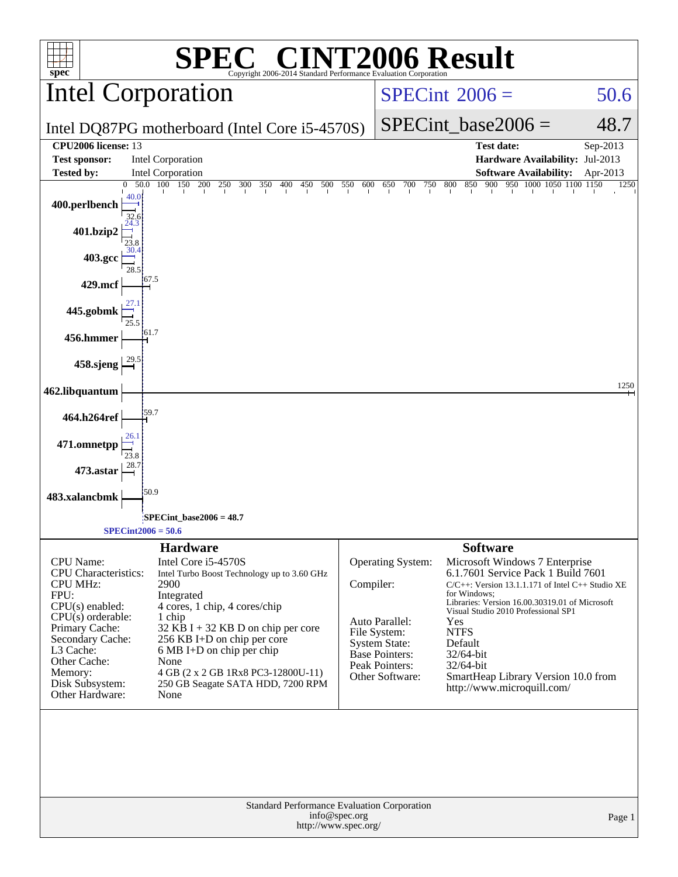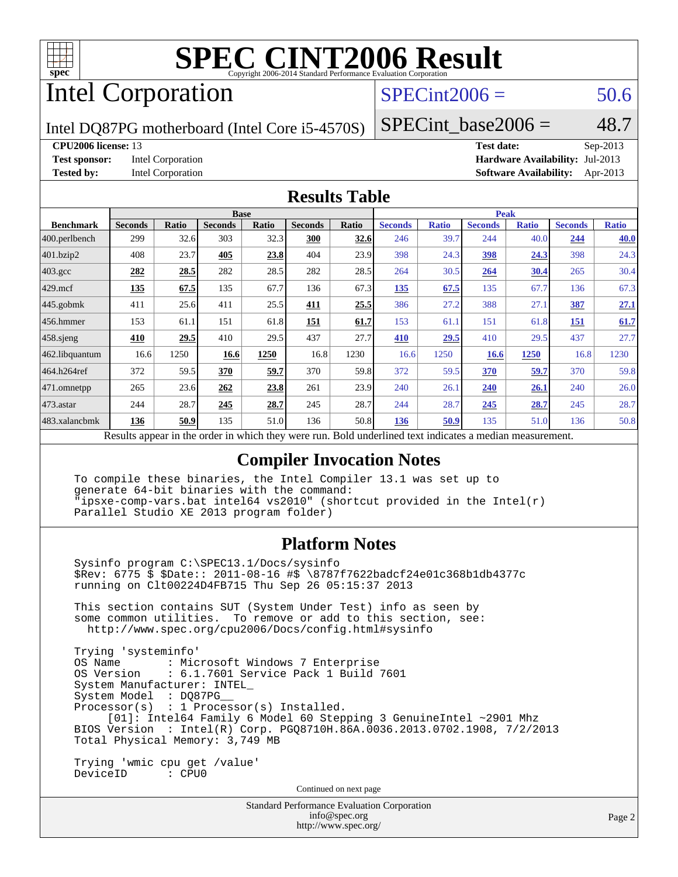

### Intel Corporation

#### $SPECint2006 = 50.6$  $SPECint2006 = 50.6$

Intel DQ87PG motherboard (Intel Core i5-4570S)

#### SPECint base2006 =  $48.7$

#### **[CPU2006 license:](http://www.spec.org/auto/cpu2006/Docs/result-fields.html#CPU2006license)** 13 **[Test date:](http://www.spec.org/auto/cpu2006/Docs/result-fields.html#Testdate)** Sep-2013

**[Test sponsor:](http://www.spec.org/auto/cpu2006/Docs/result-fields.html#Testsponsor)** Intel Corporation **[Hardware Availability:](http://www.spec.org/auto/cpu2006/Docs/result-fields.html#HardwareAvailability)** Jul-2013 **[Tested by:](http://www.spec.org/auto/cpu2006/Docs/result-fields.html#Testedby)** Intel Corporation **[Software Availability:](http://www.spec.org/auto/cpu2006/Docs/result-fields.html#SoftwareAvailability)** Apr-2013

#### **[Results Table](http://www.spec.org/auto/cpu2006/Docs/result-fields.html#ResultsTable)**

|                                                                                                          | <b>Base</b>    |       |                |       | <b>Peak</b>    |       |                |              |                |              |                |              |
|----------------------------------------------------------------------------------------------------------|----------------|-------|----------------|-------|----------------|-------|----------------|--------------|----------------|--------------|----------------|--------------|
| <b>Benchmark</b>                                                                                         | <b>Seconds</b> | Ratio | <b>Seconds</b> | Ratio | <b>Seconds</b> | Ratio | <b>Seconds</b> | <b>Ratio</b> | <b>Seconds</b> | <b>Ratio</b> | <b>Seconds</b> | <b>Ratio</b> |
| 400.perlbench                                                                                            | 299            | 32.6  | 303            | 32.3  | 300            | 32.6  | 246            | 39.7         | 244            | 40.0         | 244            | 40.0         |
| 401.bzip2                                                                                                | 408            | 23.7  | 405            | 23.8  | 404            | 23.9  | 398            | 24.3         | <u>398</u>     | 24.3         | 398            | 24.3         |
| $403.\mathrm{gcc}$                                                                                       | 282            | 28.5  | 282            | 28.5  | 282            | 28.5  | 264            | 30.5         | 264            | 30.4         | 265            | 30.4         |
| $429$ .mcf                                                                                               | 135            | 67.5  | 135            | 67.7  | 136            | 67.3  | 135            | 67.5         | 135            | 67.7         | 136            | 67.3         |
| $445$ .gobmk                                                                                             | 411            | 25.6  | 411            | 25.5  | 411            | 25.5  | 386            | 27.2         | 388            | 27.1         | 387            | 27.1         |
| 456.hmmer                                                                                                | 153            | 61.1  | 151            | 61.8  | 151            | 61.7  | 153            | 61.1         | 151            | 61.8         | 151            | 61.7         |
| $458$ .sjeng                                                                                             | 410            | 29.5  | 410            | 29.5  | 437            | 27.7  | 410            | 29.5         | 410            | 29.5         | 437            | 27.7         |
| 462.libquantum                                                                                           | 16.6           | 1250  | 16.6           | 1250  | 16.8           | 1230  | 16.6           | 1250         | 16.6           | 1250         | 16.8           | 1230         |
| 464.h264ref                                                                                              | 372            | 59.5  | 370            | 59.7  | 370            | 59.8  | 372            | 59.5         | 370            | 59.7         | 370            | 59.8         |
| $ 471$ .omnetpp                                                                                          | 265            | 23.6  | 262            | 23.8  | 261            | 23.9  | 240            | 26.1         | <b>240</b>     | 26.1         | 240            | 26.0         |
| $473$ . astar                                                                                            | 244            | 28.7  | 245            | 28.7  | 245            | 28.7  | 244            | 28.7         | 245            | 28.7         | 245            | 28.7         |
| 483.xalancbmk                                                                                            | 136            | 50.9  | 135            | 51.0  | 136            | 50.8  | 136            | 50.9         | 135            | 51.0         | 136            | 50.8         |
| Results appear in the order in which they were run. Bold underlined text indicates a median measurement. |                |       |                |       |                |       |                |              |                |              |                |              |

#### **[Compiler Invocation Notes](http://www.spec.org/auto/cpu2006/Docs/result-fields.html#CompilerInvocationNotes)**

 To compile these binaries, the Intel Compiler 13.1 was set up to generate 64-bit binaries with the command: "ipsxe-comp-vars.bat intel64 vs2010" (shortcut provided in the Intel(r) Parallel Studio XE 2013 program folder)

#### **[Platform Notes](http://www.spec.org/auto/cpu2006/Docs/result-fields.html#PlatformNotes)**

 Sysinfo program C:\SPEC13.1/Docs/sysinfo \$Rev: 6775 \$ \$Date:: 2011-08-16 #\$ \8787f7622badcf24e01c368b1db4377c running on Clt00224D4FB715 Thu Sep 26 05:15:37 2013

 This section contains SUT (System Under Test) info as seen by some common utilities. To remove or add to this section, see: <http://www.spec.org/cpu2006/Docs/config.html#sysinfo>

 Trying 'systeminfo' : Microsoft Windows 7 Enterprise OS Version : 6.1.7601 Service Pack 1 Build 7601 System Manufacturer: INTEL\_ System Model : DQ87PG\_\_ Processor(s) : 1 Processor(s) Installed. [01]: Intel64 Family 6 Model 60 Stepping 3 GenuineIntel ~2901 Mhz BIOS Version : Intel(R) Corp. PGQ8710H.86A.0036.2013.0702.1908, 7/2/2013 Total Physical Memory: 3,749 MB

 Trying 'wmic cpu get /value' DeviceID : CPU0

Continued on next page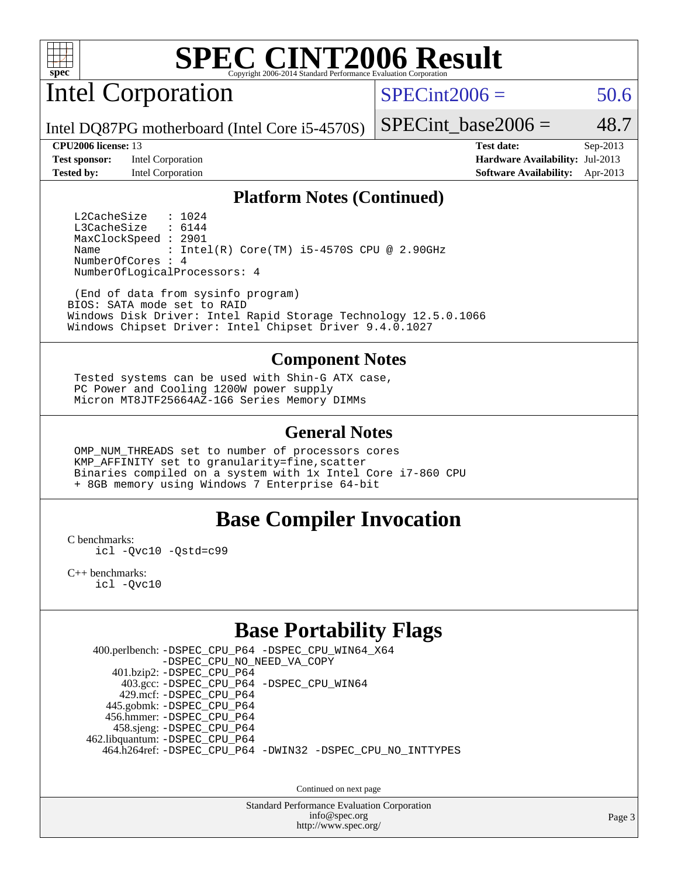

Intel Corporation

 $SPECint2006 = 50.6$  $SPECint2006 = 50.6$ 

Intel DQ87PG motherboard (Intel Core i5-4570S)

**[Test sponsor:](http://www.spec.org/auto/cpu2006/Docs/result-fields.html#Testsponsor)** Intel Corporation **[Hardware Availability:](http://www.spec.org/auto/cpu2006/Docs/result-fields.html#HardwareAvailability)** Jul-2013

SPECint base2006 =  $48.7$ 

**[CPU2006 license:](http://www.spec.org/auto/cpu2006/Docs/result-fields.html#CPU2006license)** 13 **[Test date:](http://www.spec.org/auto/cpu2006/Docs/result-fields.html#Testdate)** Sep-2013 **[Tested by:](http://www.spec.org/auto/cpu2006/Docs/result-fields.html#Testedby)** Intel Corporation **[Software Availability:](http://www.spec.org/auto/cpu2006/Docs/result-fields.html#SoftwareAvailability)** Apr-2013

#### **[Platform Notes \(Continued\)](http://www.spec.org/auto/cpu2006/Docs/result-fields.html#PlatformNotes)**

L2CacheSize : 1024<br>L3CacheSize : 6144 L3CacheSize MaxClockSpeed : 2901 Name : Intel(R) Core(TM) i5-4570S CPU @ 2.90GHz NumberOfCores : 4 NumberOfLogicalProcessors: 4

 (End of data from sysinfo program) BIOS: SATA mode set to RAID Windows Disk Driver: Intel Rapid Storage Technology 12.5.0.1066 Windows Chipset Driver: Intel Chipset Driver 9.4.0.1027

#### **[Component Notes](http://www.spec.org/auto/cpu2006/Docs/result-fields.html#ComponentNotes)**

 Tested systems can be used with Shin-G ATX case, PC Power and Cooling 1200W power supply Micron MT8JTF25664AZ-1G6 Series Memory DIMMs

#### **[General Notes](http://www.spec.org/auto/cpu2006/Docs/result-fields.html#GeneralNotes)**

 OMP\_NUM\_THREADS set to number of processors cores KMP\_AFFINITY set to granularity=fine,scatter Binaries compiled on a system with 1x Intel Core i7-860 CPU + 8GB memory using Windows 7 Enterprise 64-bit

#### **[Base Compiler Invocation](http://www.spec.org/auto/cpu2006/Docs/result-fields.html#BaseCompilerInvocation)**

[C benchmarks](http://www.spec.org/auto/cpu2006/Docs/result-fields.html#Cbenchmarks):

[icl -Qvc10](http://www.spec.org/cpu2006/results/res2014q3/cpu2006-20140701-30269.flags.html#user_CCbase_intel_icc_vc10_9607f3ecbcdf68042245f068e51b40c1) [-Qstd=c99](http://www.spec.org/cpu2006/results/res2014q3/cpu2006-20140701-30269.flags.html#user_CCbase_intel_compiler_c99_mode_1a3d110e3041b3ad4466830521bdad2a)

[C++ benchmarks:](http://www.spec.org/auto/cpu2006/Docs/result-fields.html#CXXbenchmarks) [icl -Qvc10](http://www.spec.org/cpu2006/results/res2014q3/cpu2006-20140701-30269.flags.html#user_CXXbase_intel_icc_vc10_9607f3ecbcdf68042245f068e51b40c1)

#### **[Base Portability Flags](http://www.spec.org/auto/cpu2006/Docs/result-fields.html#BasePortabilityFlags)**

 400.perlbench: [-DSPEC\\_CPU\\_P64](http://www.spec.org/cpu2006/results/res2014q3/cpu2006-20140701-30269.flags.html#b400.perlbench_basePORTABILITY_DSPEC_CPU_P64) [-DSPEC\\_CPU\\_WIN64\\_X64](http://www.spec.org/cpu2006/results/res2014q3/cpu2006-20140701-30269.flags.html#b400.perlbench_baseCPORTABILITY_DSPEC_CPU_WIN64_X64) [-DSPEC\\_CPU\\_NO\\_NEED\\_VA\\_COPY](http://www.spec.org/cpu2006/results/res2014q3/cpu2006-20140701-30269.flags.html#b400.perlbench_baseCPORTABILITY_DSPEC_CPU_NO_NEED_VA_COPY) 401.bzip2: [-DSPEC\\_CPU\\_P64](http://www.spec.org/cpu2006/results/res2014q3/cpu2006-20140701-30269.flags.html#suite_basePORTABILITY401_bzip2_DSPEC_CPU_P64) 403.gcc: [-DSPEC\\_CPU\\_P64](http://www.spec.org/cpu2006/results/res2014q3/cpu2006-20140701-30269.flags.html#suite_basePORTABILITY403_gcc_DSPEC_CPU_P64) [-DSPEC\\_CPU\\_WIN64](http://www.spec.org/cpu2006/results/res2014q3/cpu2006-20140701-30269.flags.html#b403.gcc_baseCPORTABILITY_DSPEC_CPU_WIN64) 429.mcf: [-DSPEC\\_CPU\\_P64](http://www.spec.org/cpu2006/results/res2014q3/cpu2006-20140701-30269.flags.html#suite_basePORTABILITY429_mcf_DSPEC_CPU_P64) 445.gobmk: [-DSPEC\\_CPU\\_P64](http://www.spec.org/cpu2006/results/res2014q3/cpu2006-20140701-30269.flags.html#suite_basePORTABILITY445_gobmk_DSPEC_CPU_P64) 456.hmmer: [-DSPEC\\_CPU\\_P64](http://www.spec.org/cpu2006/results/res2014q3/cpu2006-20140701-30269.flags.html#suite_basePORTABILITY456_hmmer_DSPEC_CPU_P64) 458.sjeng: [-DSPEC\\_CPU\\_P64](http://www.spec.org/cpu2006/results/res2014q3/cpu2006-20140701-30269.flags.html#suite_basePORTABILITY458_sjeng_DSPEC_CPU_P64) 462.libquantum: [-DSPEC\\_CPU\\_P64](http://www.spec.org/cpu2006/results/res2014q3/cpu2006-20140701-30269.flags.html#suite_basePORTABILITY462_libquantum_DSPEC_CPU_P64) 464.h264ref: [-DSPEC\\_CPU\\_P64](http://www.spec.org/cpu2006/results/res2014q3/cpu2006-20140701-30269.flags.html#suite_basePORTABILITY464_h264ref_DSPEC_CPU_P64) [-DWIN32](http://www.spec.org/cpu2006/results/res2014q3/cpu2006-20140701-30269.flags.html#b464.h264ref_baseCPORTABILITY_DWIN32) [-DSPEC\\_CPU\\_NO\\_INTTYPES](http://www.spec.org/cpu2006/results/res2014q3/cpu2006-20140701-30269.flags.html#b464.h264ref_baseCPORTABILITY_DSPEC_CPU_NO_INTTYPES)

Continued on next page

Standard Performance Evaluation Corporation [info@spec.org](mailto:info@spec.org) <http://www.spec.org/>

Page 3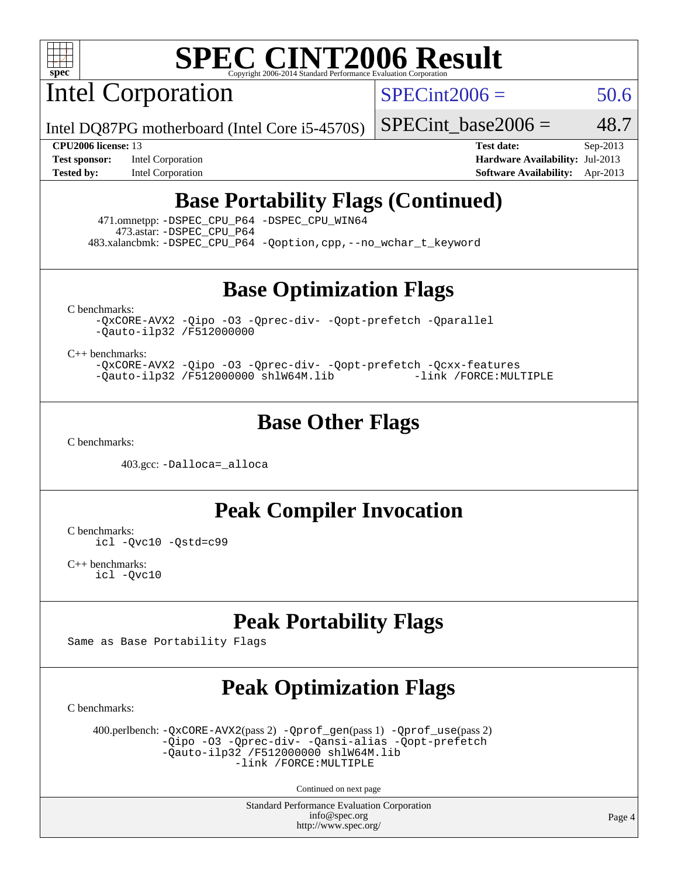

Intel Corporation

 $SPECint2006 = 50.6$  $SPECint2006 = 50.6$ 

Intel DQ87PG motherboard (Intel Core i5-4570S)

SPECint base2006 =  $48.7$ 

**[Test sponsor:](http://www.spec.org/auto/cpu2006/Docs/result-fields.html#Testsponsor)** Intel Corporation **[Hardware Availability:](http://www.spec.org/auto/cpu2006/Docs/result-fields.html#HardwareAvailability)** Jul-2013

**[CPU2006 license:](http://www.spec.org/auto/cpu2006/Docs/result-fields.html#CPU2006license)** 13 **[Test date:](http://www.spec.org/auto/cpu2006/Docs/result-fields.html#Testdate)** Sep-2013 **[Tested by:](http://www.spec.org/auto/cpu2006/Docs/result-fields.html#Testedby)** Intel Corporation **[Software Availability:](http://www.spec.org/auto/cpu2006/Docs/result-fields.html#SoftwareAvailability)** Apr-2013

### **[Base Portability Flags \(Continued\)](http://www.spec.org/auto/cpu2006/Docs/result-fields.html#BasePortabilityFlags)**

 471.omnetpp: [-DSPEC\\_CPU\\_P64](http://www.spec.org/cpu2006/results/res2014q3/cpu2006-20140701-30269.flags.html#suite_basePORTABILITY471_omnetpp_DSPEC_CPU_P64) [-DSPEC\\_CPU\\_WIN64](http://www.spec.org/cpu2006/results/res2014q3/cpu2006-20140701-30269.flags.html#b471.omnetpp_baseCXXPORTABILITY_DSPEC_CPU_WIN64) 473.astar: [-DSPEC\\_CPU\\_P64](http://www.spec.org/cpu2006/results/res2014q3/cpu2006-20140701-30269.flags.html#suite_basePORTABILITY473_astar_DSPEC_CPU_P64) 483.xalancbmk: [-DSPEC\\_CPU\\_P64](http://www.spec.org/cpu2006/results/res2014q3/cpu2006-20140701-30269.flags.html#suite_basePORTABILITY483_xalancbmk_DSPEC_CPU_P64) [-Qoption,cpp,--no\\_wchar\\_t\\_keyword](http://www.spec.org/cpu2006/results/res2014q3/cpu2006-20140701-30269.flags.html#user_baseCXXPORTABILITY483_xalancbmk_f-no_wchar_t_keyword_ec0ad4495a16b4e858bfcb29d949d25d)

**[Base Optimization Flags](http://www.spec.org/auto/cpu2006/Docs/result-fields.html#BaseOptimizationFlags)**

[C benchmarks](http://www.spec.org/auto/cpu2006/Docs/result-fields.html#Cbenchmarks):

[-QxCORE-AVX2](http://www.spec.org/cpu2006/results/res2014q3/cpu2006-20140701-30269.flags.html#user_CCbase_f-QxAVX2_f98716b5f9e905f99c943c56f21bf430) [-Qipo](http://www.spec.org/cpu2006/results/res2014q3/cpu2006-20140701-30269.flags.html#user_CCbase_f-Qipo) [-O3](http://www.spec.org/cpu2006/results/res2014q3/cpu2006-20140701-30269.flags.html#user_CCbase_f-O3) [-Qprec-div-](http://www.spec.org/cpu2006/results/res2014q3/cpu2006-20140701-30269.flags.html#user_CCbase_f-Qprec-div-) [-Qopt-prefetch](http://www.spec.org/cpu2006/results/res2014q3/cpu2006-20140701-30269.flags.html#user_CCbase_f-Qprefetch_37c211608666b9dff9380561f602f0a8) [-Qparallel](http://www.spec.org/cpu2006/results/res2014q3/cpu2006-20140701-30269.flags.html#user_CCbase_f-Qparallel) [-Qauto-ilp32](http://www.spec.org/cpu2006/results/res2014q3/cpu2006-20140701-30269.flags.html#user_CCbase_f-Qauto-ilp32) [/F512000000](http://www.spec.org/cpu2006/results/res2014q3/cpu2006-20140701-30269.flags.html#user_CCbase_set_stack_space_98438a10eb60aa5f35f4c79d9b9b27b1)

[C++ benchmarks:](http://www.spec.org/auto/cpu2006/Docs/result-fields.html#CXXbenchmarks)

[-QxCORE-AVX2](http://www.spec.org/cpu2006/results/res2014q3/cpu2006-20140701-30269.flags.html#user_CXXbase_f-QxAVX2_f98716b5f9e905f99c943c56f21bf430) [-Qipo](http://www.spec.org/cpu2006/results/res2014q3/cpu2006-20140701-30269.flags.html#user_CXXbase_f-Qipo) [-O3](http://www.spec.org/cpu2006/results/res2014q3/cpu2006-20140701-30269.flags.html#user_CXXbase_f-O3) [-Qprec-div-](http://www.spec.org/cpu2006/results/res2014q3/cpu2006-20140701-30269.flags.html#user_CXXbase_f-Qprec-div-) [-Qopt-prefetch](http://www.spec.org/cpu2006/results/res2014q3/cpu2006-20140701-30269.flags.html#user_CXXbase_f-Qprefetch_37c211608666b9dff9380561f602f0a8) [-Qcxx-features](http://www.spec.org/cpu2006/results/res2014q3/cpu2006-20140701-30269.flags.html#user_CXXbase_f-Qcxx_features_dbf36c8a6dba956e22f1645e4dcd4d98) [-Qauto-ilp32](http://www.spec.org/cpu2006/results/res2014q3/cpu2006-20140701-30269.flags.html#user_CXXbase_f-Qauto-ilp32) [/F512000000](http://www.spec.org/cpu2006/results/res2014q3/cpu2006-20140701-30269.flags.html#user_CXXbase_set_stack_space_98438a10eb60aa5f35f4c79d9b9b27b1) [shlW64M.lib](http://www.spec.org/cpu2006/results/res2014q3/cpu2006-20140701-30269.flags.html#user_CXXbase_SmartHeap64_c4f7f76711bdf8c0633a5c1edf6e5396) [-link /FORCE:MULTIPLE](http://www.spec.org/cpu2006/results/res2014q3/cpu2006-20140701-30269.flags.html#user_CXXbase_link_force_multiple2_070fe330869edf77077b841074b8b0b6)

#### **[Base Other Flags](http://www.spec.org/auto/cpu2006/Docs/result-fields.html#BaseOtherFlags)**

[C benchmarks](http://www.spec.org/auto/cpu2006/Docs/result-fields.html#Cbenchmarks):

403.gcc: [-Dalloca=\\_alloca](http://www.spec.org/cpu2006/results/res2014q3/cpu2006-20140701-30269.flags.html#b403.gcc_baseEXTRA_CFLAGS_Dalloca_be3056838c12de2578596ca5467af7f3)

**[Peak Compiler Invocation](http://www.spec.org/auto/cpu2006/Docs/result-fields.html#PeakCompilerInvocation)**

[C benchmarks](http://www.spec.org/auto/cpu2006/Docs/result-fields.html#Cbenchmarks): [icl -Qvc10](http://www.spec.org/cpu2006/results/res2014q3/cpu2006-20140701-30269.flags.html#user_CCpeak_intel_icc_vc10_9607f3ecbcdf68042245f068e51b40c1) [-Qstd=c99](http://www.spec.org/cpu2006/results/res2014q3/cpu2006-20140701-30269.flags.html#user_CCpeak_intel_compiler_c99_mode_1a3d110e3041b3ad4466830521bdad2a)

[C++ benchmarks:](http://www.spec.org/auto/cpu2006/Docs/result-fields.html#CXXbenchmarks) [icl -Qvc10](http://www.spec.org/cpu2006/results/res2014q3/cpu2006-20140701-30269.flags.html#user_CXXpeak_intel_icc_vc10_9607f3ecbcdf68042245f068e51b40c1)

### **[Peak Portability Flags](http://www.spec.org/auto/cpu2006/Docs/result-fields.html#PeakPortabilityFlags)**

Same as Base Portability Flags

## **[Peak Optimization Flags](http://www.spec.org/auto/cpu2006/Docs/result-fields.html#PeakOptimizationFlags)**

[C benchmarks](http://www.spec.org/auto/cpu2006/Docs/result-fields.html#Cbenchmarks):

 400.perlbench: [-QxCORE-AVX2](http://www.spec.org/cpu2006/results/res2014q3/cpu2006-20140701-30269.flags.html#user_peakPASS2_CFLAGSPASS2_LDFLAGS400_perlbench_f-QxAVX2_f98716b5f9e905f99c943c56f21bf430)(pass 2) [-Qprof\\_gen](http://www.spec.org/cpu2006/results/res2014q3/cpu2006-20140701-30269.flags.html#user_peakPASS1_CFLAGSPASS1_LDFLAGS400_perlbench_Qprof_gen)(pass 1) [-Qprof\\_use](http://www.spec.org/cpu2006/results/res2014q3/cpu2006-20140701-30269.flags.html#user_peakPASS2_CFLAGSPASS2_LDFLAGS400_perlbench_Qprof_use)(pass 2) [-Qipo](http://www.spec.org/cpu2006/results/res2014q3/cpu2006-20140701-30269.flags.html#user_peakOPTIMIZE400_perlbench_f-Qipo) [-O3](http://www.spec.org/cpu2006/results/res2014q3/cpu2006-20140701-30269.flags.html#user_peakOPTIMIZE400_perlbench_f-O3) [-Qprec-div-](http://www.spec.org/cpu2006/results/res2014q3/cpu2006-20140701-30269.flags.html#user_peakOPTIMIZE400_perlbench_f-Qprec-div-) [-Qansi-alias](http://www.spec.org/cpu2006/results/res2014q3/cpu2006-20140701-30269.flags.html#user_peakOPTIMIZE400_perlbench_f-Qansi-alias) [-Qopt-prefetch](http://www.spec.org/cpu2006/results/res2014q3/cpu2006-20140701-30269.flags.html#user_peakOPTIMIZE400_perlbench_f-Qprefetch_37c211608666b9dff9380561f602f0a8)  $-\tilde{Q}$ auto-ilp32 [/F512000000](http://www.spec.org/cpu2006/results/res2014q3/cpu2006-20140701-30269.flags.html#user_peakEXTRA_LDFLAGS400_perlbench_set_stack_space_98438a10eb60aa5f35f4c79d9b9b27b1) [shlW64M.lib](http://www.spec.org/cpu2006/results/res2014q3/cpu2006-20140701-30269.flags.html#user_peakEXTRA_LIBS400_perlbench_SmartHeap64_c4f7f76711bdf8c0633a5c1edf6e5396)  [-link /FORCE:MULTIPLE](http://www.spec.org/cpu2006/results/res2014q3/cpu2006-20140701-30269.flags.html#user_peakLDOUT400_perlbench_link_force_multiple2_070fe330869edf77077b841074b8b0b6)

Continued on next page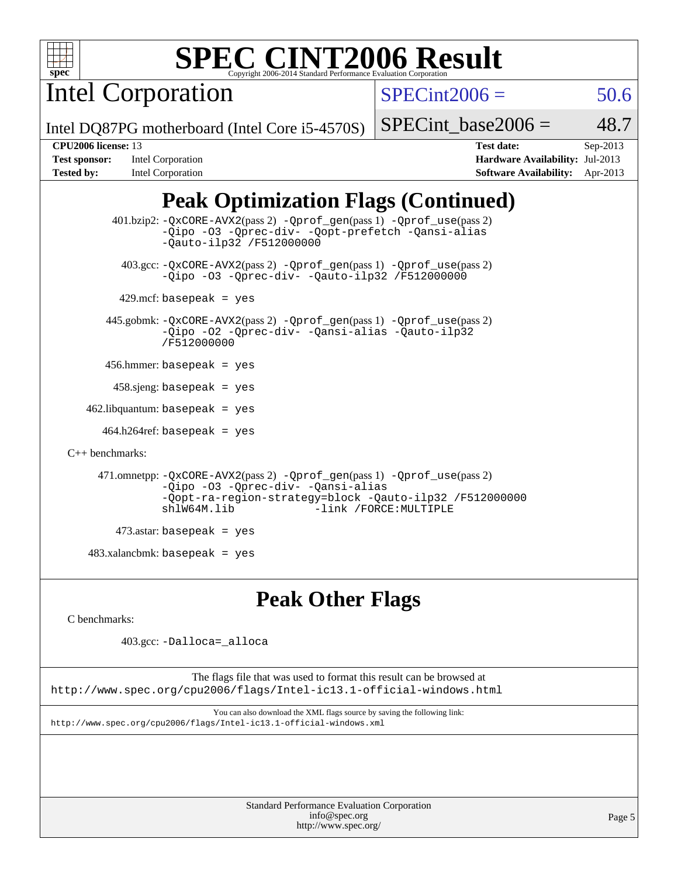| ÷ |  |  |
|---|--|--|

Intel Corporation

 $SPECint2006 = 50.6$  $SPECint2006 = 50.6$ 

Intel DQ87PG motherboard (Intel Core i5-4570S)

**[Tested by:](http://www.spec.org/auto/cpu2006/Docs/result-fields.html#Testedby)** Intel Corporation **[Software Availability:](http://www.spec.org/auto/cpu2006/Docs/result-fields.html#SoftwareAvailability)** Apr-2013

**[CPU2006 license:](http://www.spec.org/auto/cpu2006/Docs/result-fields.html#CPU2006license)** 13 **[Test date:](http://www.spec.org/auto/cpu2006/Docs/result-fields.html#Testdate)** Sep-2013 **[Test sponsor:](http://www.spec.org/auto/cpu2006/Docs/result-fields.html#Testsponsor)** Intel Corporation **[Hardware Availability:](http://www.spec.org/auto/cpu2006/Docs/result-fields.html#HardwareAvailability)** Jul-2013

SPECint base2006 =  $48.7$ 

### **[Peak Optimization Flags \(Continued\)](http://www.spec.org/auto/cpu2006/Docs/result-fields.html#PeakOptimizationFlags)**

```
 401.bzip2: -QxCORE-AVX2(pass 2) -Qprof_gen(pass 1) -Qprof_use(pass 2)
                -Qipo -O3 -Qprec-div- -Qopt-prefetch -Qansi-alias
                -Qauto-ilp32 /F512000000
          403.gcc: -QxCORE-AVX2(pass 2) -Qprof_gen(pass 1) -Qprof_use(pass 2)
                -Qipo -O3 -Qprec-div- -Qauto-ilp32 /F512000000
        429.mcf: basepeak = yes
       445.gobmk: -QxCORE-AVX2(pass 2) -Qprof_gen(pass 1) -Qprof_use(pass 2)
                -Qipo -O2 -Qprec-div- -Qansi-alias -Qauto-ilp32
                /F512000000
       456.hmmer: basepeak = yes
       458 \text{.}sjeng: basepeak = yes
   462.libquantum: basepeak = yes
      464.h264ref: basepeak = yes
C++ benchmarks: 
      471.omnetpp: -QxCORE-AVX2(pass 2) -Qprof_gen(pass 1) -Qprof_use(pass 2)
                -Qipo -O3 -Qprec-div- -Qansi-alias
                -Qopt-ra-region-strategy=block -Qauto-ilp32 /F512000000
                                          -link /FORCE: MULTIPLE
         473.astar: basepeak = yes
   483.xalanchmk: basepeak = yes
```
#### **[Peak Other Flags](http://www.spec.org/auto/cpu2006/Docs/result-fields.html#PeakOtherFlags)**

[C benchmarks](http://www.spec.org/auto/cpu2006/Docs/result-fields.html#Cbenchmarks):

403.gcc: [-Dalloca=\\_alloca](http://www.spec.org/cpu2006/results/res2014q3/cpu2006-20140701-30269.flags.html#b403.gcc_peakEXTRA_CFLAGS_Dalloca_be3056838c12de2578596ca5467af7f3)

The flags file that was used to format this result can be browsed at <http://www.spec.org/cpu2006/flags/Intel-ic13.1-official-windows.html>

You can also download the XML flags source by saving the following link: <http://www.spec.org/cpu2006/flags/Intel-ic13.1-official-windows.xml>